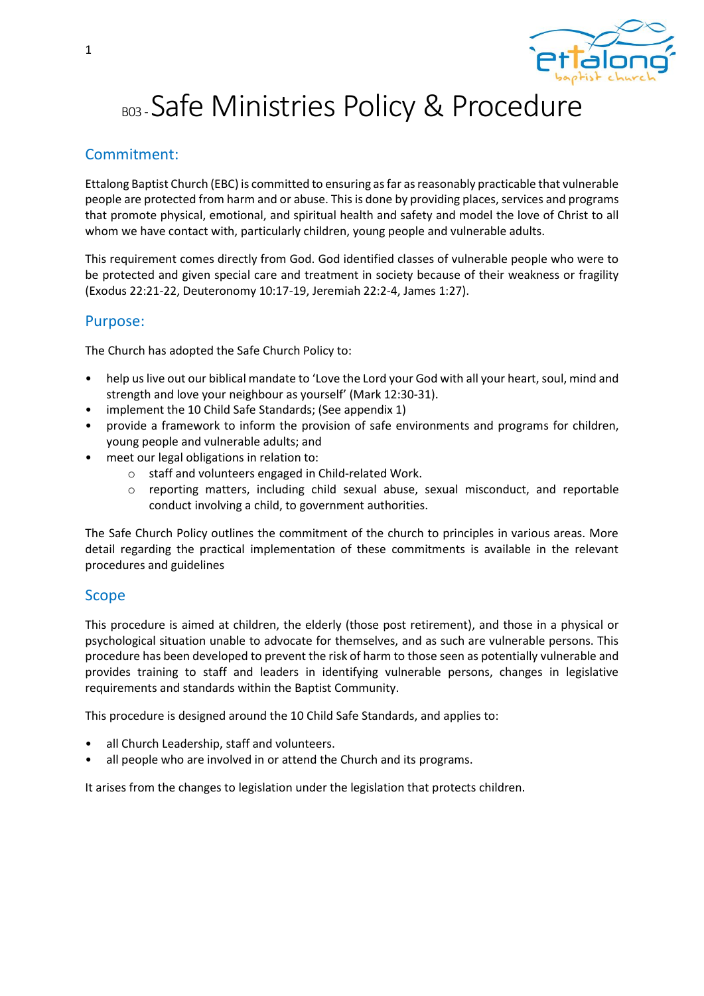

# BD3-Safe Ministries Policy & Procedure

### Commitment:

Ettalong Baptist Church (EBC) is committed to ensuring as far as reasonably practicable that vulnerable people are protected from harm and or abuse. This is done by providing places, services and programs that promote physical, emotional, and spiritual health and safety and model the love of Christ to all whom we have contact with, particularly children, young people and vulnerable adults.

This requirement comes directly from God. God identified classes of vulnerable people who were to be protected and given special care and treatment in society because of their weakness or fragility (Exodus 22:21-22, Deuteronomy 10:17-19, Jeremiah 22:2-4, James 1:27).

#### Purpose:

The Church has adopted the Safe Church Policy to:

- help us live out our biblical mandate to 'Love the Lord your God with all your heart, soul, mind and strength and love your neighbour as yourself' (Mark 12:30-31).
- implement the 10 Child Safe Standards; (See appendix 1)
- provide a framework to inform the provision of safe environments and programs for children, young people and vulnerable adults; and
- meet our legal obligations in relation to:
	- o staff and volunteers engaged in Child-related Work.
	- o reporting matters, including child sexual abuse, sexual misconduct, and reportable conduct involving a child, to government authorities.

The Safe Church Policy outlines the commitment of the church to principles in various areas. More detail regarding the practical implementation of these commitments is available in the relevant procedures and guidelines

#### Scope

This procedure is aimed at children, the elderly (those post retirement), and those in a physical or psychological situation unable to advocate for themselves, and as such are vulnerable persons. This procedure has been developed to prevent the risk of harm to those seen as potentially vulnerable and provides training to staff and leaders in identifying vulnerable persons, changes in legislative requirements and standards within the Baptist Community.

This procedure is designed around the 10 Child Safe Standards, and applies to:

- all Church Leadership, staff and volunteers.
- all people who are involved in or attend the Church and its programs.

It arises from the changes to legislation under the legislation that protects children.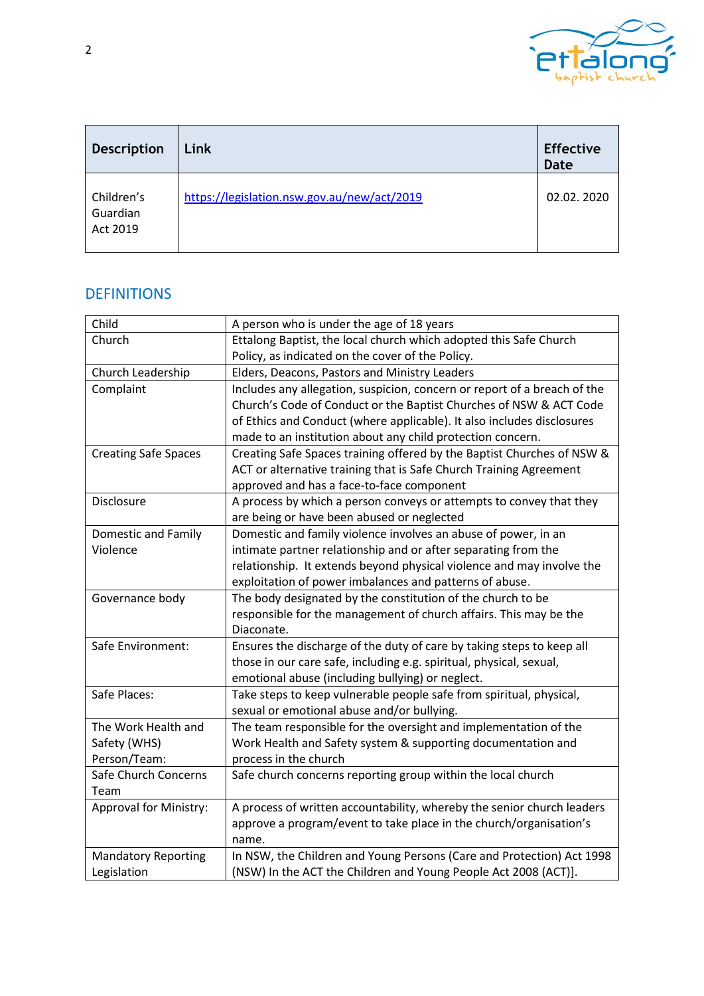

| <b>Description</b>                 | Link                                        | <b>Effective</b><br><b>Date</b> |
|------------------------------------|---------------------------------------------|---------------------------------|
| Children's<br>Guardian<br>Act 2019 | https://legislation.nsw.gov.au/new/act/2019 | 02.02.2020                      |

# **DEFINITIONS**

| Child                         | A person who is under the age of 18 years                                |  |
|-------------------------------|--------------------------------------------------------------------------|--|
| Church                        | Ettalong Baptist, the local church which adopted this Safe Church        |  |
|                               | Policy, as indicated on the cover of the Policy.                         |  |
| Church Leadership             | Elders, Deacons, Pastors and Ministry Leaders                            |  |
| Complaint                     | Includes any allegation, suspicion, concern or report of a breach of the |  |
|                               | Church's Code of Conduct or the Baptist Churches of NSW & ACT Code       |  |
|                               | of Ethics and Conduct (where applicable). It also includes disclosures   |  |
|                               | made to an institution about any child protection concern.               |  |
| <b>Creating Safe Spaces</b>   | Creating Safe Spaces training offered by the Baptist Churches of NSW &   |  |
|                               | ACT or alternative training that is Safe Church Training Agreement       |  |
|                               | approved and has a face-to-face component                                |  |
| Disclosure                    | A process by which a person conveys or attempts to convey that they      |  |
|                               | are being or have been abused or neglected                               |  |
| Domestic and Family           | Domestic and family violence involves an abuse of power, in an           |  |
| Violence                      | intimate partner relationship and or after separating from the           |  |
|                               | relationship. It extends beyond physical violence and may involve the    |  |
|                               | exploitation of power imbalances and patterns of abuse.                  |  |
| Governance body               | The body designated by the constitution of the church to be              |  |
|                               | responsible for the management of church affairs. This may be the        |  |
|                               | Diaconate.                                                               |  |
| Safe Environment:             | Ensures the discharge of the duty of care by taking steps to keep all    |  |
|                               | those in our care safe, including e.g. spiritual, physical, sexual,      |  |
|                               | emotional abuse (including bullying) or neglect.                         |  |
| Safe Places:                  | Take steps to keep vulnerable people safe from spiritual, physical,      |  |
|                               | sexual or emotional abuse and/or bullying.                               |  |
| The Work Health and           | The team responsible for the oversight and implementation of the         |  |
| Safety (WHS)                  | Work Health and Safety system & supporting documentation and             |  |
| Person/Team:                  | process in the church                                                    |  |
| Safe Church Concerns          | Safe church concerns reporting group within the local church             |  |
| Team                          |                                                                          |  |
| <b>Approval for Ministry:</b> | A process of written accountability, whereby the senior church leaders   |  |
|                               | approve a program/event to take place in the church/organisation's       |  |
|                               | name.                                                                    |  |
| <b>Mandatory Reporting</b>    | In NSW, the Children and Young Persons (Care and Protection) Act 1998    |  |
| Legislation                   | (NSW) In the ACT the Children and Young People Act 2008 (ACT)].          |  |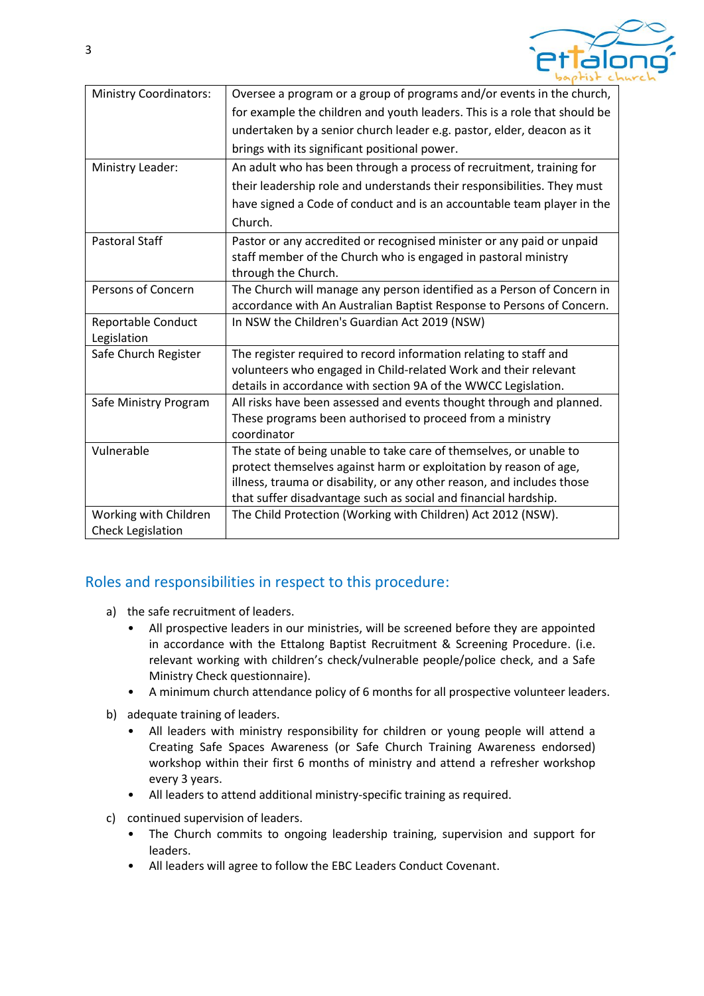

| <b>Ministry Coordinators:</b> | Oversee a program or a group of programs and/or events in the church,     |
|-------------------------------|---------------------------------------------------------------------------|
|                               | for example the children and youth leaders. This is a role that should be |
|                               | undertaken by a senior church leader e.g. pastor, elder, deacon as it     |
|                               | brings with its significant positional power.                             |
| Ministry Leader:              | An adult who has been through a process of recruitment, training for      |
|                               | their leadership role and understands their responsibilities. They must   |
|                               | have signed a Code of conduct and is an accountable team player in the    |
|                               | Church.                                                                   |
| <b>Pastoral Staff</b>         | Pastor or any accredited or recognised minister or any paid or unpaid     |
|                               | staff member of the Church who is engaged in pastoral ministry            |
|                               | through the Church.                                                       |
| Persons of Concern            | The Church will manage any person identified as a Person of Concern in    |
|                               | accordance with An Australian Baptist Response to Persons of Concern.     |
| Reportable Conduct            | In NSW the Children's Guardian Act 2019 (NSW)                             |
| Legislation                   |                                                                           |
| Safe Church Register          | The register required to record information relating to staff and         |
|                               | volunteers who engaged in Child-related Work and their relevant           |
|                               | details in accordance with section 9A of the WWCC Legislation.            |
| Safe Ministry Program         | All risks have been assessed and events thought through and planned.      |
|                               | These programs been authorised to proceed from a ministry                 |
|                               | coordinator                                                               |
| Vulnerable                    | The state of being unable to take care of themselves, or unable to        |
|                               | protect themselves against harm or exploitation by reason of age,         |
|                               | illness, trauma or disability, or any other reason, and includes those    |
|                               | that suffer disadvantage such as social and financial hardship.           |
| Working with Children         | The Child Protection (Working with Children) Act 2012 (NSW).              |
| <b>Check Legislation</b>      |                                                                           |

#### Roles and responsibilities in respect to this procedure:

- a) the safe recruitment of leaders.
	- All prospective leaders in our ministries, will be screened before they are appointed in accordance with the Ettalong Baptist Recruitment & Screening Procedure. (i.e. relevant working with children's check/vulnerable people/police check, and a Safe Ministry Check questionnaire).
	- A minimum church attendance policy of 6 months for all prospective volunteer leaders.
- b) adequate training of leaders.
	- All leaders with ministry responsibility for children or young people will attend a Creating Safe Spaces Awareness (or Safe Church Training Awareness endorsed) workshop within their first 6 months of ministry and attend a refresher workshop every 3 years.
	- All leaders to attend additional ministry-specific training as required.
- c) continued supervision of leaders.
	- The Church commits to ongoing leadership training, supervision and support for leaders.
	- All leaders will agree to follow the EBC Leaders Conduct Covenant.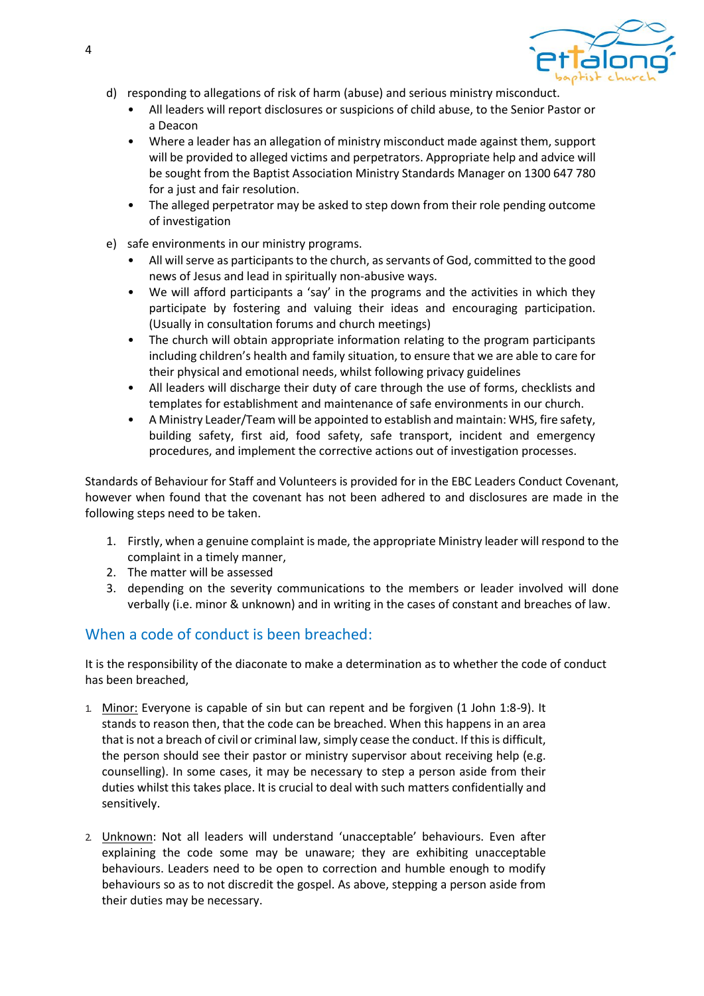

- d) responding to allegations of risk of harm (abuse) and serious ministry misconduct.
	- All leaders will report disclosures or suspicions of child abuse, to the Senior Pastor or a Deacon
	- Where a leader has an allegation of ministry misconduct made against them, support will be provided to alleged victims and perpetrators. Appropriate help and advice will be sought from the Baptist Association Ministry Standards Manager on 1300 647 780 for a just and fair resolution.
	- The alleged perpetrator may be asked to step down from their role pending outcome of investigation
- e) safe environments in our ministry programs.
	- All will serve as participants to the church, as servants of God, committed to the good news of Jesus and lead in spiritually non-abusive ways.
	- We will afford participants a 'say' in the programs and the activities in which they participate by fostering and valuing their ideas and encouraging participation. (Usually in consultation forums and church meetings)
	- The church will obtain appropriate information relating to the program participants including children's health and family situation, to ensure that we are able to care for their physical and emotional needs, whilst following privacy guidelines
	- All leaders will discharge their duty of care through the use of forms, checklists and templates for establishment and maintenance of safe environments in our church.
	- A Ministry Leader/Team will be appointed to establish and maintain: WHS, fire safety, building safety, first aid, food safety, safe transport, incident and emergency procedures, and implement the corrective actions out of investigation processes.

Standards of Behaviour for Staff and Volunteers is provided for in the EBC Leaders Conduct Covenant, however when found that the covenant has not been adhered to and disclosures are made in the following steps need to be taken.

- 1. Firstly, when a genuine complaint is made, the appropriate Ministry leader will respond to the complaint in a timely manner,
- 2. The matter will be assessed
- 3. depending on the severity communications to the members or leader involved will done verbally (i.e. minor & unknown) and in writing in the cases of constant and breaches of law.

## When a code of conduct is been breached:

It is the responsibility of the diaconate to make a determination as to whether the code of conduct has been breached,

- 1. Minor: Everyone is capable of sin but can repent and be forgiven (1 John 1:8-9). It stands to reason then, that the code can be breached. When this happens in an area that is not a breach of civil or criminal law, simply cease the conduct. If this is difficult, the person should see their pastor or ministry supervisor about receiving help (e.g. counselling). In some cases, it may be necessary to step a person aside from their duties whilst this takes place. It is crucial to deal with such matters confidentially and sensitively.
- 2. Unknown: Not all leaders will understand 'unacceptable' behaviours. Even after explaining the code some may be unaware; they are exhibiting unacceptable behaviours. Leaders need to be open to correction and humble enough to modify behaviours so as to not discredit the gospel. As above, stepping a person aside from their duties may be necessary.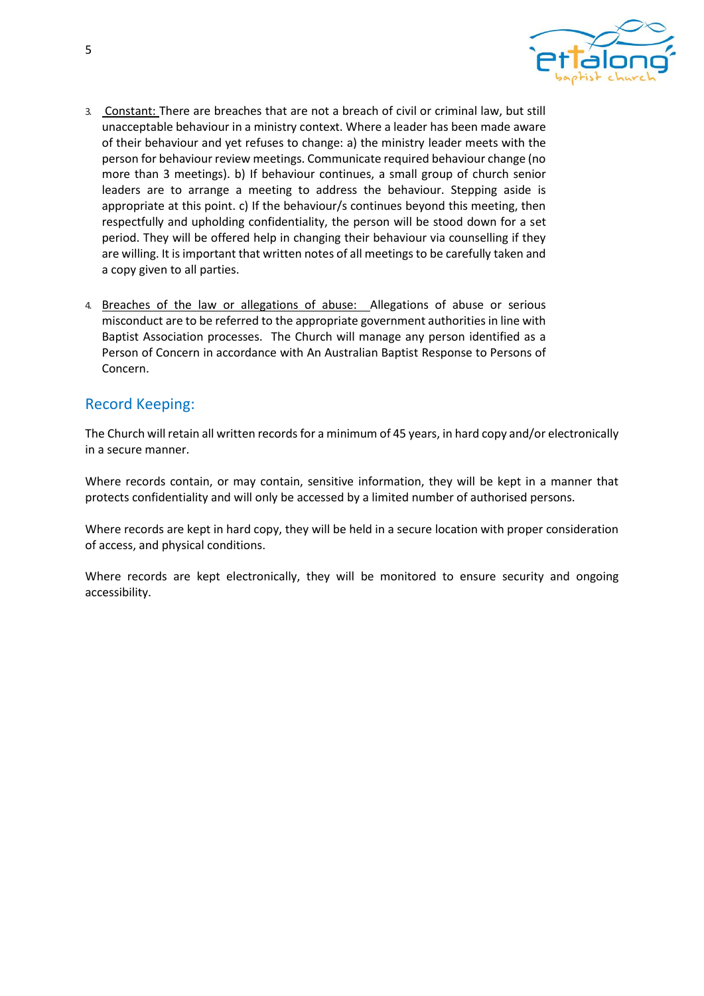

- 3. Constant: There are breaches that are not a breach of civil or criminal law, but still unacceptable behaviour in a ministry context. Where a leader has been made aware of their behaviour and yet refuses to change: a) the ministry leader meets with the person for behaviour review meetings. Communicate required behaviour change (no more than 3 meetings). b) If behaviour continues, a small group of church senior leaders are to arrange a meeting to address the behaviour. Stepping aside is appropriate at this point. c) If the behaviour/s continues beyond this meeting, then respectfully and upholding confidentiality, the person will be stood down for a set period. They will be offered help in changing their behaviour via counselling if they are willing. It is important that written notes of all meetings to be carefully taken and a copy given to all parties.
- 4. Breaches of the law or allegations of abuse: Allegations of abuse or serious misconduct are to be referred to the appropriate government authorities in line with Baptist Association processes. The Church will manage any person identified as a Person of Concern in accordance with An Australian Baptist Response to Persons of Concern.

#### Record Keeping:

The Church will retain all written records for a minimum of 45 years, in hard copy and/or electronically in a secure manner.

Where records contain, or may contain, sensitive information, they will be kept in a manner that protects confidentiality and will only be accessed by a limited number of authorised persons.

Where records are kept in hard copy, they will be held in a secure location with proper consideration of access, and physical conditions.

Where records are kept electronically, they will be monitored to ensure security and ongoing accessibility.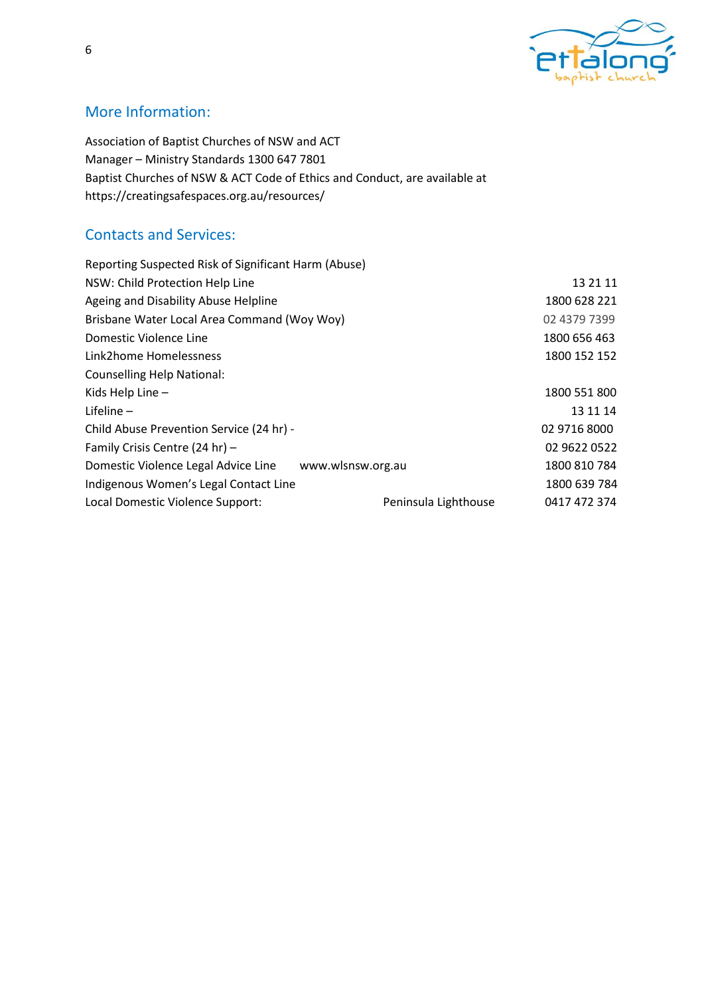

# More Information:

Association of Baptist Churches of NSW and ACT Manager – Ministry Standards 1300 647 7801 Baptist Churches of NSW & ACT Code of Ethics and Conduct, are available at https://creatingsafespaces.org.au/resources/

# Contacts and Services:

| Reporting Suspected Risk of Significant Harm (Abuse) |                      |              |
|------------------------------------------------------|----------------------|--------------|
| NSW: Child Protection Help Line                      | 13 21 11             |              |
| Ageing and Disability Abuse Helpline                 | 1800 628 221         |              |
| Brisbane Water Local Area Command (Woy Woy)          | 02 4379 7399         |              |
| Domestic Violence Line                               | 1800 656 463         |              |
| Link2home Homelessness                               | 1800 152 152         |              |
| Counselling Help National:                           |                      |              |
| Kids Help Line -                                     |                      | 1800 551 800 |
| Lifeline $-$                                         |                      | 13 11 14     |
| Child Abuse Prevention Service (24 hr) -             |                      | 02 9716 8000 |
| Family Crisis Centre (24 hr) -                       |                      | 02 9622 0522 |
| Domestic Violence Legal Advice Line                  | www.wlsnsw.org.au    | 1800 810 784 |
| Indigenous Women's Legal Contact Line                |                      | 1800 639 784 |
| Local Domestic Violence Support:                     | Peninsula Lighthouse | 0417 472 374 |